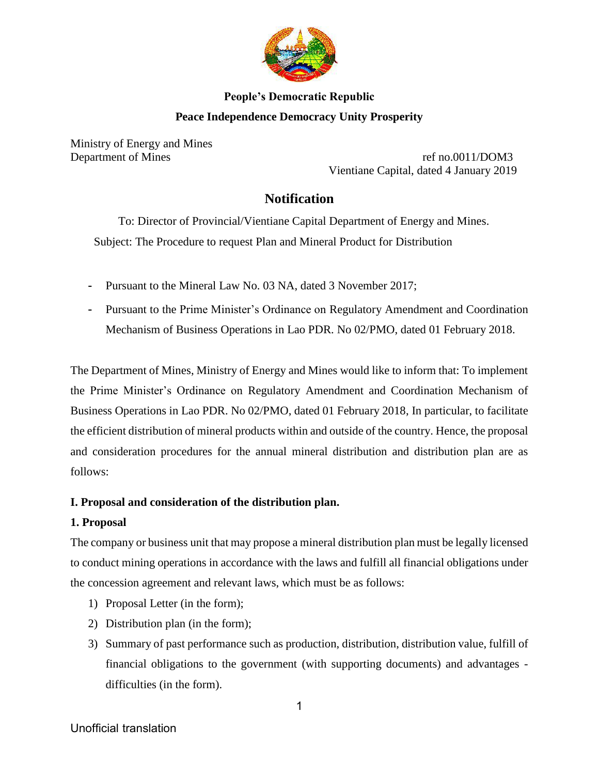

# **People's Democratic Republic Peace Independence Democracy Unity Prosperity**

Ministry of Energy and Mines

Department of Mines ref no.0011/DOM3 Vientiane Capital, dated 4 January 2019

## **Notification**

 To: Director of Provincial/Vientiane Capital Department of Energy and Mines. Subject: The Procedure to request Plan and Mineral Product for Distribution

- Pursuant to the Mineral Law No. 03 NA, dated 3 November 2017;
- Pursuant to the Prime Minister's Ordinance on Regulatory Amendment and Coordination Mechanism of Business Operations in Lao PDR. No 02/PMO, dated 01 February 2018.

The Department of Mines, Ministry of Energy and Mines would like to inform that: To implement the Prime Minister's Ordinance on Regulatory Amendment and Coordination Mechanism of Business Operations in Lao PDR. No 02/PMO, dated 01 February 2018, In particular, to facilitate the efficient distribution of mineral products within and outside of the country. Hence, the proposal and consideration procedures for the annual mineral distribution and distribution plan are as follows:

### **I. Proposal and consideration of the distribution plan.**

### **1. Proposal**

The company or business unit that may propose a mineral distribution plan must be legally licensed to conduct mining operations in accordance with the laws and fulfill all financial obligations under the concession agreement and relevant laws, which must be as follows:

- 1) Proposal Letter (in the form);
- 2) Distribution plan (in the form);
- 3) Summary of past performance such as production, distribution, distribution value, fulfill of financial obligations to the government (with supporting documents) and advantages difficulties (in the form).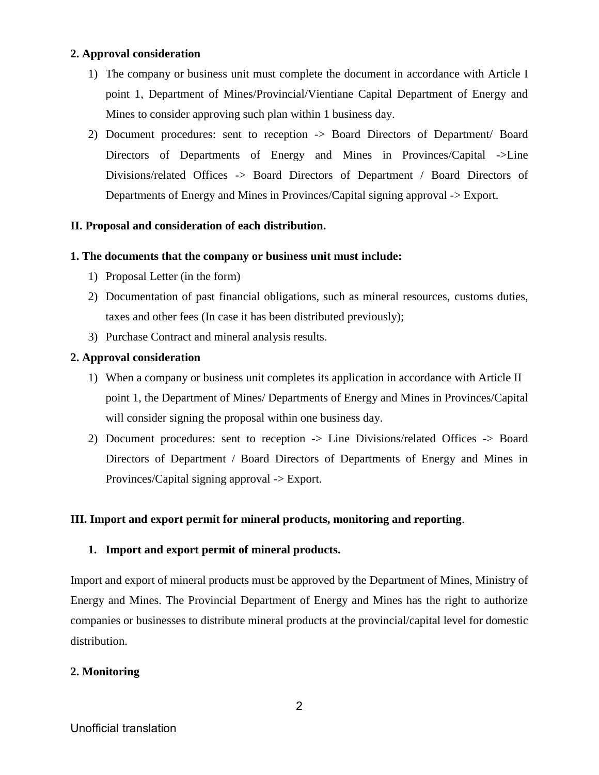#### **2. Approval consideration**

- 1) The company or business unit must complete the document in accordance with Article I point 1, Department of Mines/Provincial/Vientiane Capital Department of Energy and Mines to consider approving such plan within 1 business day.
- 2) Document procedures: sent to reception -> Board Directors of Department/ Board Directors of Departments of Energy and Mines in Provinces/Capital ->Line Divisions/related Offices -> Board Directors of Department / Board Directors of Departments of Energy and Mines in Provinces/Capital signing approval -> Export.

#### **II. Proposal and consideration of each distribution.**

#### **1. The documents that the company or business unit must include:**

- 1) Proposal Letter (in the form)
- 2) Documentation of past financial obligations, such as mineral resources, customs duties, taxes and other fees (In case it has been distributed previously);
- 3) Purchase Contract and mineral analysis results.

#### **2. Approval consideration**

- 1) When a company or business unit completes its application in accordance with Article II point 1, the Department of Mines/ Departments of Energy and Mines in Provinces/Capital will consider signing the proposal within one business day.
- 2) Document procedures: sent to reception -> Line Divisions/related Offices -> Board Directors of Department / Board Directors of Departments of Energy and Mines in Provinces/Capital signing approval -> Export.

### **III. Import and export permit for mineral products, monitoring and reporting**.

#### **1. Import and export permit of mineral products.**

Import and export of mineral products must be approved by the Department of Mines, Ministry of Energy and Mines. The Provincial Department of Energy and Mines has the right to authorize companies or businesses to distribute mineral products at the provincial/capital level for domestic distribution.

#### **2. Monitoring**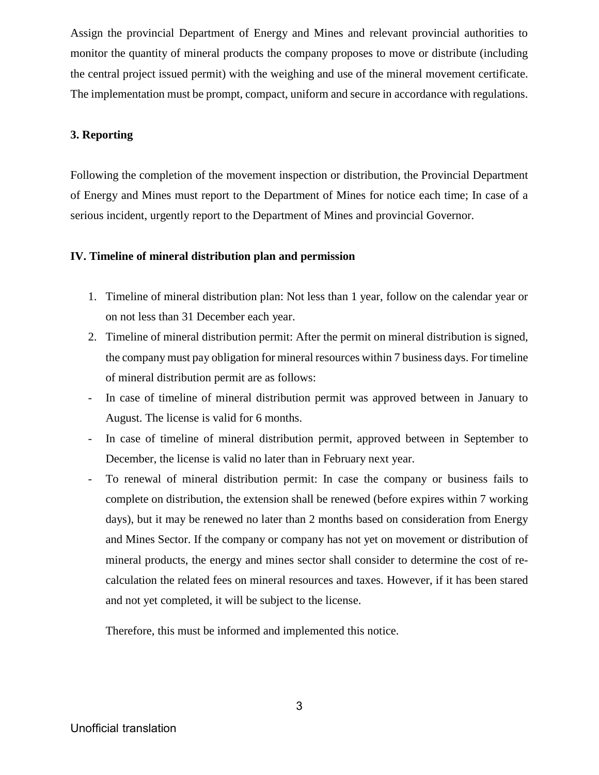Assign the provincial Department of Energy and Mines and relevant provincial authorities to monitor the quantity of mineral products the company proposes to move or distribute (including the central project issued permit) with the weighing and use of the mineral movement certificate. The implementation must be prompt, compact, uniform and secure in accordance with regulations.

#### **3. Reporting**

Following the completion of the movement inspection or distribution, the Provincial Department of Energy and Mines must report to the Department of Mines for notice each time; In case of a serious incident, urgently report to the Department of Mines and provincial Governor.

#### **IV. Timeline of mineral distribution plan and permission**

- 1. Timeline of mineral distribution plan: Not less than 1 year, follow on the calendar year or on not less than 31 December each year.
- 2. Timeline of mineral distribution permit: After the permit on mineral distribution is signed, the company must pay obligation for mineral resources within 7 business days. For timeline of mineral distribution permit are as follows:
- In case of timeline of mineral distribution permit was approved between in January to August. The license is valid for 6 months.
- In case of timeline of mineral distribution permit, approved between in September to December, the license is valid no later than in February next year.
- To renewal of mineral distribution permit: In case the company or business fails to complete on distribution, the extension shall be renewed (before expires within 7 working days), but it may be renewed no later than 2 months based on consideration from Energy and Mines Sector. If the company or company has not yet on movement or distribution of mineral products, the energy and mines sector shall consider to determine the cost of recalculation the related fees on mineral resources and taxes. However, if it has been stared and not yet completed, it will be subject to the license.

Therefore, this must be informed and implemented this notice.